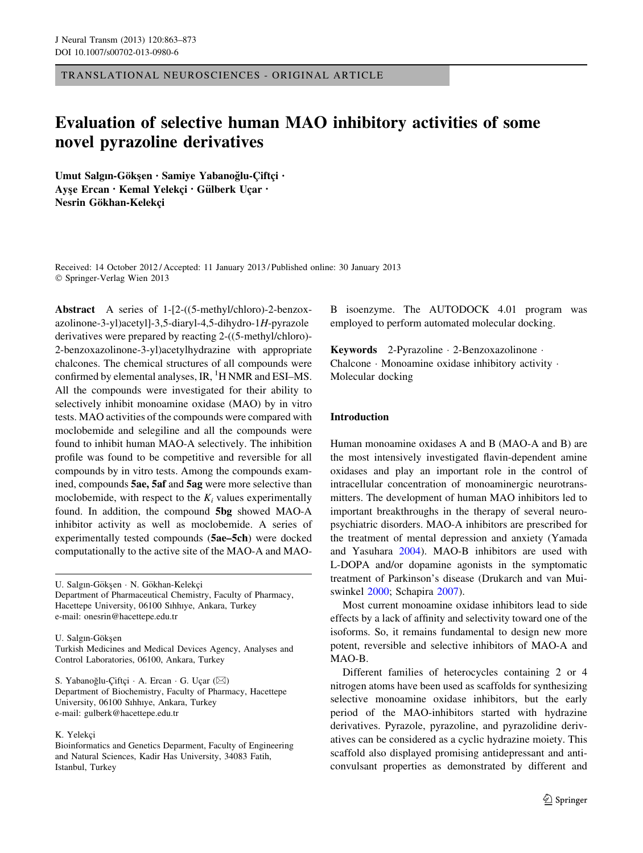TRANSLATIONAL NEUROSCIENCES - ORIGINAL ARTICLE

# Evaluation of selective human MAO inhibitory activities of some novel pyrazoline derivatives

Umut Salgın-Gökşen · Samiye Yabanoğlu-Çiftçi · Ayse Ercan · Kemal Yelekçi · Gülberk Uçar · Nesrin Gökhan-Kelekci

Received: 14 October 2012 / Accepted: 11 January 2013 / Published online: 30 January 2013 © Springer-Verlag Wien 2013

Abstract A series of 1-[2-((5-methyl/chloro)-2-benzoxazolinone-3-yl)acetyl]-3,5-diaryl-4,5-dihydro-1H-pyrazole derivatives were prepared by reacting 2-((5-methyl/chloro)- 2-benzoxazolinone-3-yl)acetylhydrazine with appropriate chalcones. The chemical structures of all compounds were confirmed by elemental analyses, IR, <sup>1</sup>H NMR and ESI-MS. All the compounds were investigated for their ability to selectively inhibit monoamine oxidase (MAO) by in vitro tests. MAO activities of the compounds were compared with moclobemide and selegiline and all the compounds were found to inhibit human MAO-A selectively. The inhibition profile was found to be competitive and reversible for all compounds by in vitro tests. Among the compounds examined, compounds 5ae, 5af and 5ag were more selective than moclobemide, with respect to the  $K_i$  values experimentally found. In addition, the compound 5bg showed MAO-A inhibitor activity as well as moclobemide. A series of experimentally tested compounds (5ae–5ch) were docked computationally to the active site of the MAO-A and MAO-

U. Salgın-Gökşen · N. Gökhan-Kelekçi Department of Pharmaceutical Chemistry, Faculty of Pharmacy, Hacettepe University, 06100 Sıhhıye, Ankara, Turkey e-mail: onesrin@hacettepe.edu.tr

U. Salgın-Göksen

Turkish Medicines and Medical Devices Agency, Analyses and Control Laboratories, 06100, Ankara, Turkey

S. Yabanoğlu-Çiftçi ∙ A. Ercan ∙ G. Uçar (⊠) Department of Biochemistry, Faculty of Pharmacy, Hacettepe University, 06100 Sıhhıye, Ankara, Turkey e-mail: gulberk@hacettepe.edu.tr

### K. Yelekci

Bioinformatics and Genetics Deparment, Faculty of Engineering and Natural Sciences, Kadir Has University, 34083 Fatih, Istanbul, Turkey

B isoenzyme. The AUTODOCK 4.01 program was employed to perform automated molecular docking.

Keywords 2-Pyrazoline - 2-Benzoxazolinone - Chalcone - Monoamine oxidase inhibitory activity - Molecular docking

# Introduction

Human monoamine oxidases A and B (MAO-A and B) are the most intensively investigated flavin-dependent amine oxidases and play an important role in the control of intracellular concentration of monoaminergic neurotransmitters. The development of human MAO inhibitors led to important breakthroughs in the therapy of several neuropsychiatric disorders. MAO-A inhibitors are prescribed for the treatment of mental depression and anxiety (Yamada and Yasuhara [2004\)](#page-10-0). MAO-B inhibitors are used with L-DOPA and/or dopamine agonists in the symptomatic treatment of Parkinson's disease (Drukarch and van Muiswinkel [2000;](#page-9-0) Schapira [2007\)](#page-9-0).

Most current monoamine oxidase inhibitors lead to side effects by a lack of affinity and selectivity toward one of the isoforms. So, it remains fundamental to design new more potent, reversible and selective inhibitors of MAO-A and MAO-B.

Different families of heterocycles containing 2 or 4 nitrogen atoms have been used as scaffolds for synthesizing selective monoamine oxidase inhibitors, but the early period of the MAO-inhibitors started with hydrazine derivatives. Pyrazole, pyrazoline, and pyrazolidine derivatives can be considered as a cyclic hydrazine moiety. This scaffold also displayed promising antidepressant and anticonvulsant properties as demonstrated by different and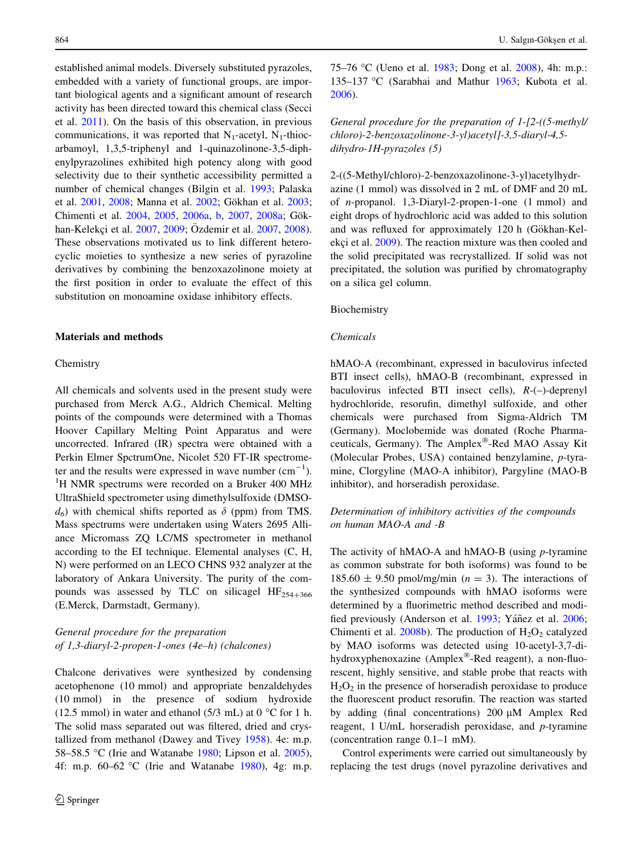established animal models. Diversely substituted pyrazoles, embedded with a variety of functional groups, are important biological agents and a significant amount of research activity has been directed toward this chemical class (Secci et al. [2011](#page-9-0)). On the basis of this observation, in previous communications, it was reported that  $N_1$ -acetyl,  $N_1$ -thiocarbamoyl, 1,3,5-triphenyl and 1-quinazolinone-3,5-diphenylpyrazolines exhibited high potency along with good selectivity due to their synthetic accessibility permitted a number of chemical changes (Bilgin et al. [1993;](#page-8-0) Palaska et al. [2001,](#page-9-0) [2008;](#page-9-0) Manna et al. [2002](#page-9-0); Gökhan et al. [2003](#page-9-0); Chimenti et al. [2004,](#page-8-0) [2005](#page-8-0), [2006a,](#page-9-0) [b](#page-9-0), [2007](#page-9-0), [2008a](#page-9-0); Gök-han-Kelekçi et al. [2007,](#page-9-0) [2009](#page-9-0); Özdemir et al. 2007, [2008](#page-9-0)). These observations motivated us to link different heterocyclic moieties to synthesize a new series of pyrazoline derivatives by combining the benzoxazolinone moiety at the first position in order to evaluate the effect of this substitution on monoamine oxidase inhibitory effects.

#### Materials and methods

# Chemistry

All chemicals and solvents used in the present study were purchased from Merck A.G., Aldrich Chemical. Melting points of the compounds were determined with a Thomas Hoover Capillary Melting Point Apparatus and were uncorrected. Infrared (IR) spectra were obtained with a Perkin Elmer SpctrumOne, Nicolet 520 FT-IR spectrometer and the results were expressed in wave number  $(\text{cm}^{-1})$ .<br><sup>1</sup>H NMP spectrums were recorded on a Bruker 400 MHz <sup>1</sup>H NMR spectrums were recorded on a Bruker 400 MHz UltraShield spectrometer using dimethylsulfoxide (DMSO $d_6$ ) with chemical shifts reported as  $\delta$  (ppm) from TMS. Mass spectrums were undertaken using Waters 2695 Alliance Micromass ZQ LC/MS spectrometer in methanol according to the EI technique. Elemental analyses (C, H, N) were performed on an LECO CHNS 932 analyzer at the laboratory of Ankara University. The purity of the compounds was assessed by TLC on silicagel  $HF_{254+366}$ (E.Merck, Darmstadt, Germany).

# General procedure for the preparation of 1,3-diaryl-2-propen-1-ones (4e–h) (chalcones)

Chalcone derivatives were synthesized by condensing acetophenone (10 mmol) and appropriate benzaldehydes (10 mmol) in the presence of sodium hydroxide (12.5 mmol) in water and ethanol (5/3 mL) at  $0^{\circ}$ C for 1 h. The solid mass separated out was filtered, dried and crystallized from methanol (Dawey and Tivey [1958\)](#page-9-0). 4e: m.p. 58–58.5 °C (Irie and Watanabe [1980](#page-9-0); Lipson et al.  $2005$ ), 4f: m.p.  $60-62$  °C (Irie and Watanabe [1980](#page-9-0)), 4g: m.p.

75–76 °C (Ueno et al. [1983](#page-10-0); Dong et al. [2008\)](#page-9-0), 4h: m.p.: 135-137 °C (Sarabhai and Mathur [1963;](#page-9-0) Kubota et al. [2006](#page-9-0)).

General procedure for the preparation of 1-[2-((5-methyl/ chloro)-2-benzoxazolinone-3-yl)acetyl]-3,5-diaryl-4,5 dihydro-1H-pyrazoles (5)

2-((5-Methyl/chloro)-2-benzoxazolinone-3-yl)acetylhydrazine (1 mmol) was dissolved in 2 mL of DMF and 20 mL of n-propanol. 1,3-Diaryl-2-propen-1-one (1 mmol) and eight drops of hydrochloric acid was added to this solution and was refluxed for approximately 120 h (Gökhan-Kel-ekçi et al. [2009\)](#page-9-0). The reaction mixture was then cooled and the solid precipitated was recrystallized. If solid was not precipitated, the solution was purified by chromatography on a silica gel column.

Biochemistry

#### Chemicals

hMAO-A (recombinant, expressed in baculovirus infected BTI insect cells), hMAO-B (recombinant, expressed in baculovirus infected BTI insect cells), R-(–)-deprenyl hydrochloride, resorufin, dimethyl sulfoxide, and other chemicals were purchased from Sigma-Aldrich TM (Germany). Moclobemide was donated (Roche Pharmaceuticals, Germany). The Amplex®-Red MAO Assay Kit (Molecular Probes, USA) contained benzylamine, p-tyramine, Clorgyline (MAO-A inhibitor), Pargyline (MAO-B inhibitor), and horseradish peroxidase.

# Determination of inhibitory activities of the compounds on human MAO-A and -B

The activity of  $h$ MAO-A and  $h$ MAO-B (using *p*-tyramine as common substrate for both isoforms) was found to be  $185.60 \pm 9.50$  pmol/mg/min ( $n = 3$ ). The interactions of the synthesized compounds with hMAO isoforms were determined by a fluorimetric method described and modi-fied previously (Anderson et al. [1993](#page-8-0); Yáñez et al. [2006](#page-10-0); Chimenti et al.  $2008b$ ). The production of  $H_2O_2$  catalyzed by MAO isoforms was detected using 10-acetyl-3,7-dihydroxyphenoxazine (Amplex®-Red reagent), a non-fluorescent, highly sensitive, and stable probe that reacts with  $H<sub>2</sub>O<sub>2</sub>$  in the presence of horseradish peroxidase to produce the fluorescent product resorufin. The reaction was started by adding (final concentrations)  $200 \mu M$  Amplex Red reagent, 1 U/mL horseradish peroxidase, and p-tyramine (concentration range 0.1–1 mM).

Control experiments were carried out simultaneously by replacing the test drugs (novel pyrazoline derivatives and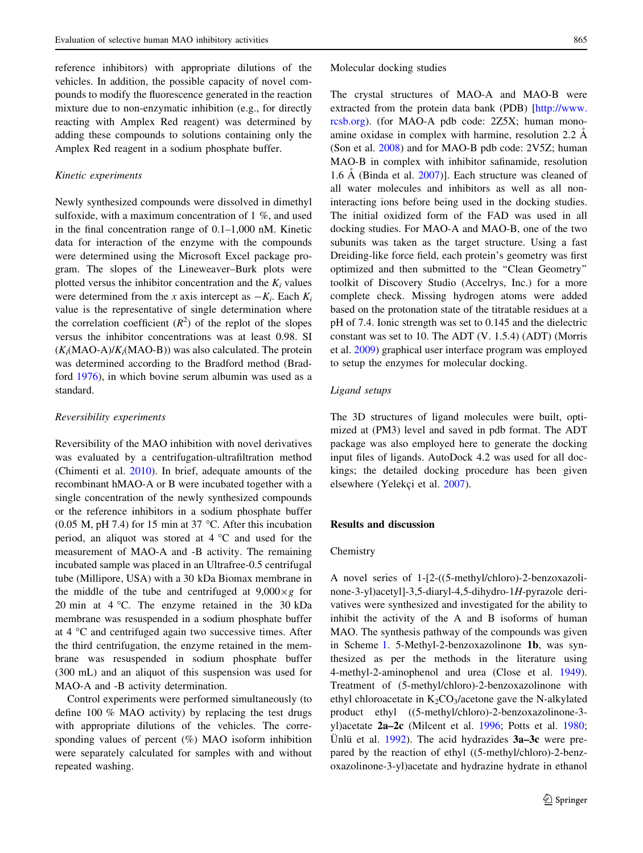reference inhibitors) with appropriate dilutions of the vehicles. In addition, the possible capacity of novel compounds to modify the fluorescence generated in the reaction mixture due to non-enzymatic inhibition (e.g., for directly reacting with Amplex Red reagent) was determined by adding these compounds to solutions containing only the Amplex Red reagent in a sodium phosphate buffer.

#### Kinetic experiments

Newly synthesized compounds were dissolved in dimethyl sulfoxide, with a maximum concentration of 1 %, and used in the final concentration range of 0.1–1,000 nM. Kinetic data for interaction of the enzyme with the compounds were determined using the Microsoft Excel package program. The slopes of the Lineweaver–Burk plots were plotted versus the inhibitor concentration and the  $K_i$  values were determined from the x axis intercept as  $-K_i$ . Each  $K_i$ value is the representative of single determination where the correlation coefficient  $(R^2)$  of the replot of the slopes versus the inhibitor concentrations was at least 0.98. SI  $(K<sub>i</sub>(MAO-A)/K<sub>i</sub>(MAO-B))$  was also calculated. The protein was determined according to the Bradford method (Bradford [1976\)](#page-8-0), in which bovine serum albumin was used as a standard.

#### Reversibility experiments

Reversibility of the MAO inhibition with novel derivatives was evaluated by a centrifugation-ultrafiltration method (Chimenti et al. [2010](#page-9-0)). In brief, adequate amounts of the recombinant hMAO-A or B were incubated together with a single concentration of the newly synthesized compounds or the reference inhibitors in a sodium phosphate buffer (0.05 M, pH 7.4) for 15 min at 37  $\degree$ C. After this incubation period, an aliquot was stored at  $4^{\circ}$ C and used for the measurement of MAO-A and -B activity. The remaining incubated sample was placed in an Ultrafree-0.5 centrifugal tube (Millipore, USA) with a 30 kDa Biomax membrane in the middle of the tube and centrifuged at  $9,000 \times g$  for 20 min at  $4^{\circ}$ C. The enzyme retained in the 30 kDa membrane was resuspended in a sodium phosphate buffer at  $4 \,^{\circ}\text{C}$  and centrifuged again two successive times. After the third centrifugation, the enzyme retained in the membrane was resuspended in sodium phosphate buffer (300 mL) and an aliquot of this suspension was used for MAO-A and -B activity determination.

Control experiments were performed simultaneously (to define 100 % MAO activity) by replacing the test drugs with appropriate dilutions of the vehicles. The corresponding values of percent  $(\%)$  MAO isoform inhibition were separately calculated for samples with and without repeated washing.

Molecular docking studies

The crystal structures of MAO-A and MAO-B were extracted from the protein data bank (PDB) [\[http://www.](http://www.rcsb.org) [rcsb.org\)](http://www.rcsb.org). (for MAO-A pdb code: 2Z5X; human monoamine oxidase in complex with harmine, resolution  $2.2 \text{ Å}$ (Son et al. [2008\)](#page-10-0) and for MAO-B pdb code: 2V5Z; human MAO-B in complex with inhibitor safinamide, resolution 1.6  $\AA$  (Binda et al. [2007\)](#page-8-0)]. Each structure was cleaned of all water molecules and inhibitors as well as all noninteracting ions before being used in the docking studies. The initial oxidized form of the FAD was used in all docking studies. For MAO-A and MAO-B, one of the two subunits was taken as the target structure. Using a fast Dreiding-like force field, each protein's geometry was first optimized and then submitted to the ''Clean Geometry'' toolkit of Discovery Studio (Accelrys, Inc.) for a more complete check. Missing hydrogen atoms were added based on the protonation state of the titratable residues at a pH of 7.4. Ionic strength was set to 0.145 and the dielectric constant was set to 10. The ADT (V. 1.5.4) (ADT) (Morris et al. [2009](#page-9-0)) graphical user interface program was employed to setup the enzymes for molecular docking.

#### Ligand setups

The 3D structures of ligand molecules were built, optimized at (PM3) level and saved in pdb format. The ADT package was also employed here to generate the docking input files of ligands. AutoDock 4.2 was used for all dockings; the detailed docking procedure has been given elsewhere (Yelekçi et al. [2007\)](#page-10-0).

#### Results and discussion

# Chemistry

A novel series of 1-[2-((5-methyl/chloro)-2-benzoxazolinone-3-yl)acetyl]-3,5-diaryl-4,5-dihydro-1H-pyrazole derivatives were synthesized and investigated for the ability to inhibit the activity of the A and B isoforms of human MAO. The synthesis pathway of the compounds was given in Scheme [1](#page-3-0). 5-Methyl-2-benzoxazolinone 1b, was synthesized as per the methods in the literature using 4-methyl-2-aminophenol and urea (Close et al. [1949](#page-9-0)). Treatment of (5-methyl/chloro)-2-benzoxazolinone with ethyl chloroacetate in  $K_2CO_3/a$ cetone gave the N-alkylated product ethyl ((5-methyl/chloro)-2-benzoxazolinone-3 yl)acetate 2a–2c (Milcent et al. [1996;](#page-9-0) Potts et al. [1980](#page-9-0); Unlu et al.  $1992$ ). The acid hydrazides  $3a-3c$  were prepared by the reaction of ethyl ((5-methyl/chloro)-2-benzoxazolinone-3-yl)acetate and hydrazine hydrate in ethanol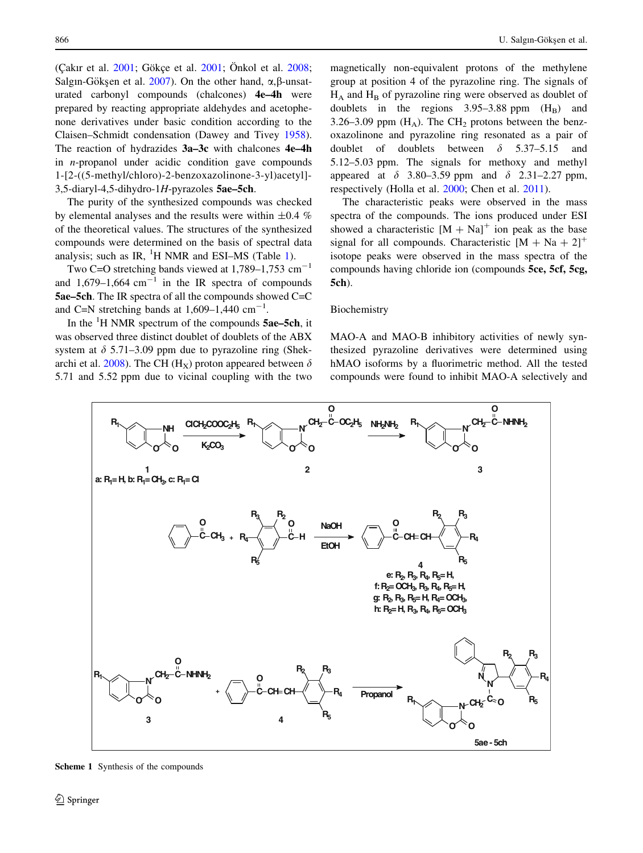<span id="page-3-0"></span>(Cakır et al.  $2001$ : Gökce et al.  $2001$ : Önkol et al.  $2008$ : Salgın-Gökşen et al. [2007](#page-9-0)). On the other hand,  $\alpha$ ,  $\beta$ -unsaturated carbonyl compounds (chalcones) 4e–4h were prepared by reacting appropriate aldehydes and acetophenone derivatives under basic condition according to the Claisen–Schmidt condensation (Dawey and Tivey [1958](#page-9-0)). The reaction of hydrazides 3a–3c with chalcones 4e–4h in n-propanol under acidic condition gave compounds 1-[2-((5-methyl/chloro)-2-benzoxazolinone-3-yl)acetyl]- 3,5-diaryl-4,5-dihydro-1H-pyrazoles 5ae–5ch.

The purity of the synthesized compounds was checked by elemental analyses and the results were within  $\pm 0.4$  % of the theoretical values. The structures of the synthesized compounds were determined on the basis of spectral data analysis; such as IR,  ${}^{1}H$  NMR and ESI-MS (Table [1\)](#page-4-0).

Two C=O stretching bands viewed at  $1,789-1,753$  cm<sup>-1</sup> and 1,679–1,664 cm<sup>-1</sup> in the IR spectra of compounds 5ae–5ch. The IR spectra of all the compounds showed C=C and C=N stretching bands at  $1,609-1,440$  cm<sup>-1</sup>.

In the  ${}^{1}$ H NMR spectrum of the compounds 5ae–5ch, it was observed three distinct doublet of doublets of the ABX system at  $\delta$  5.71–3.09 ppm due to pyrazoline ring (Shek-archi et al. [2008\)](#page-9-0). The CH (H<sub>x</sub>) proton appeared between  $\delta$ 5.71 and 5.52 ppm due to vicinal coupling with the two

magnetically non-equivalent protons of the methylene group at position 4 of the pyrazoline ring. The signals of  $H_A$  and  $H_B$  of pyrazoline ring were observed as doublet of doublets in the regions  $3.95-3.88$  ppm  $(H_B)$  and 3.26–3.09 ppm  $(H_A)$ . The CH<sub>2</sub> protons between the benzoxazolinone and pyrazoline ring resonated as a pair of doublet of doublets between  $\delta$  5.37–5.15 and 5.12–5.03 ppm. The signals for methoxy and methyl appeared at  $\delta$  3.80–3.59 ppm and  $\delta$  2.31–2.27 ppm, respectively (Holla et al. [2000](#page-9-0); Chen et al. [2011\)](#page-8-0).

The characteristic peaks were observed in the mass spectra of the compounds. The ions produced under ESI showed a characteristic  $[M + Na]$ <sup>+</sup> ion peak as the base signal for all compounds. Characteristic  $[M + Na + 2]^+$ isotope peaks were observed in the mass spectra of the compounds having chloride ion (compounds 5ce, 5cf, 5cg, 5ch).

#### Biochemistry

MAO-A and MAO-B inhibitory activities of newly synthesized pyrazoline derivatives were determined using hMAO isoforms by a fluorimetric method. All the tested compounds were found to inhibit MAO-A selectively and



Scheme 1 Synthesis of the compounds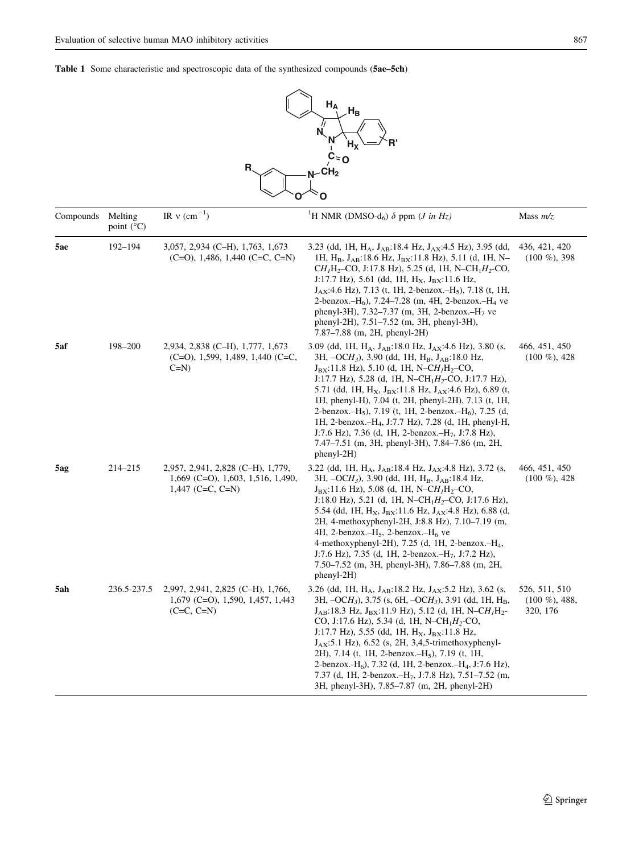

<span id="page-4-0"></span>

| Compounds | Melting<br>point $(^{\circ}C)$ | IR $v$ (cm <sup>-1</sup> )                                                                            | <sup>1</sup> H NMR (DMSO-d <sub>6</sub> ) $\delta$ ppm ( <i>J in Hz</i> )                                                                                                                                                                                                                                                                                                                                                                                                                                                                                                                                                                                                                                         | Mass $m/z$                                     |  |
|-----------|--------------------------------|-------------------------------------------------------------------------------------------------------|-------------------------------------------------------------------------------------------------------------------------------------------------------------------------------------------------------------------------------------------------------------------------------------------------------------------------------------------------------------------------------------------------------------------------------------------------------------------------------------------------------------------------------------------------------------------------------------------------------------------------------------------------------------------------------------------------------------------|------------------------------------------------|--|
| 5ae       | 192-194                        | 3,057, 2,934 (C-H), 1,763, 1,673<br>$(C=O)$ , 1,486, 1,440 $(C=C, C=N)$                               | 3.23 (dd, 1H, $H_A$ , $J_{AB}$ :18.4 Hz, $J_{AX}$ :4.5 Hz), 3.95 (dd,<br>1H, H <sub>B</sub> , J <sub>AB</sub> :18.6 Hz, J <sub>BX</sub> :11.8 Hz), 5.11 (d, 1H, N-<br>$CH_1H_2$ -CO, J:17.8 Hz), 5.25 (d, 1H, N-CH <sub>1</sub> H <sub>2</sub> -CO,<br>J:17.7 Hz), 5.61 (dd, 1H, $H_X$ , $J_{BX}$ :11.6 Hz,<br>$J_{AX}$ :4.6 Hz), 7.13 (t, 1H, 2-benzox.-H <sub>5</sub> ), 7.18 (t, 1H,<br>2-benzox. $-H_6$ ), 7.24–7.28 (m, 4H, 2-benzox. $-H_4$ ve<br>phenyl-3H), 7.32–7.37 (m, 3H, 2-benzox.–H <sub>7</sub> ve<br>phenyl-2H), 7.51–7.52 (m, 3H, phenyl-3H),<br>7.87–7.88 (m, 2H, phenyl-2H)                                                                                                                    | 436, 421, 420<br>$(100 \%)$ , 398              |  |
| 5af       | 198-200                        | 2,934, 2,838 (C–H), 1,777, 1,673<br>$(C=O)$ , 1,599, 1,489, 1,440 $(C=C)$ ,<br>$C=N$                  | 3.09 (dd, 1H, HA, JAB:18.0 Hz, JAX:4.6 Hz), 3.80 (s,<br>3H, $-OCH_3$ ), 3.90 (dd, 1H, H <sub>B</sub> , J <sub>AB</sub> :18.0 Hz,<br>$J_{BX}$ :11.8 Hz), 5.10 (d, 1H, N-CH <sub>1</sub> H <sub>2</sub> -CO,<br>J:17.7 Hz), 5.28 (d, 1H, N-CH <sub>1</sub> H <sub>2</sub> -CO, J:17.7 Hz),<br>5.71 (dd, 1H, $H_X$ , $J_{BX}$ :11.8 Hz, $J_{AX}$ :4.6 Hz), 6.89 (t,<br>1H, phenyl-H), 7.04 (t, 2H, phenyl-2H), 7.13 (t, 1H,<br>2-benzox.-H <sub>5</sub> ), 7.19 (t, 1H, 2-benzox.-H <sub>6</sub> ), 7.25 (d,<br>1H, 2-benzox.-H <sub>4</sub> , J:7.7 Hz), 7.28 (d, 1H, phenyl-H,<br>J:7.6 Hz), 7.36 (d, 1H, 2-benzox.-H <sub>7</sub> , J:7.8 Hz),<br>7.47–7.51 (m, 3H, phenyl-3H), 7.84–7.86 (m, 2H,<br>$phenyl-2H)$ |                                                |  |
| 5ag       | 214-215                        | 2,957, 2,941, 2,828 (C-H), 1,779,<br>$1,669$ (C=O), $1,603$ , $1,516$ , $1,490$ ,<br>1,447 (C=C, C=N) | 3.22 (dd, 1H, H <sub>A</sub> , J <sub>AB</sub> :18.4 Hz, J <sub>AX</sub> :4.8 Hz), 3.72 (s,<br>3H, $-OCH_3$ ), 3.90 (dd, 1H, H <sub>B</sub> , J <sub>AB</sub> :18.4 Hz,<br>$J_{\rm BX}$ :11.6 Hz), 5.08 (d, 1H, N–CH <sub>1</sub> H <sub>2</sub> –CO,<br>J:18.0 Hz), 5.21 (d, 1H, N-CH <sub>1</sub> H <sub>2</sub> -CO, J:17.6 Hz),<br>5.54 (dd, 1H, $H_X$ , $J_{BX}$ :11.6 Hz, $J_{AX}$ :4.8 Hz), 6.88 (d,<br>2H, 4-methoxyphenyl-2H, J:8.8 Hz), 7.10–7.19 (m,<br>4H, 2-benzox. $-H_5$ , 2-benzox. $-H_6$ ve<br>4-methoxyphenyl-2H), 7.25 (d, 1H, 2-benzox. $-H_4$ ,<br>J:7.6 Hz), 7.35 (d, 1H, 2-benzox.-H <sub>7</sub> , J:7.2 Hz),<br>7.50–7.52 (m, 3H, phenyl-3H), 7.86–7.88 (m, 2H,<br>phenyl-2H)           | 466, 451, 450<br>$(100 \%)$ , 428              |  |
| 5ah       | 236.5-237.5                    | 2,997, 2,941, 2,825 (C-H), 1,766,<br>$1,679$ (C=O), 1,590, 1,457, 1,443<br>$(C=C, C=N)$               | 3.26 (dd, 1H, $H_A$ , $J_{AB}$ :18.2 Hz, $J_{AX}$ :5.2 Hz), 3.62 (s,<br>3H, $-OCH_3$ ), 3.75 (s, 6H, $-OCH_3$ ), 3.91 (dd, 1H, H <sub>B</sub> ,<br>$J_{AB}$ :18.3 Hz, $J_{BX}$ :11.9 Hz), 5.12 (d, 1H, N-CH <sub>1</sub> H <sub>2</sub> -<br>CO, J:17.6 Hz), 5.34 (d, 1H, N-CH <sub>1</sub> H <sub>2</sub> -CO,<br>J:17.7 Hz), 5.55 (dd, 1H, $H_X$ , $J_{BX}$ :11.8 Hz,<br>$J_{AX}$ :5.1 Hz), 6.52 (s, 2H, 3,4,5-trimethoxyphenyl-<br>2H), 7.14 (t, 1H, 2-benzox.–H <sub>5</sub> ), 7.19 (t, 1H,<br>2-benzox.-H <sub>6</sub> ), 7.32 (d, 1H, 2-benzox.-H <sub>4</sub> , J:7.6 Hz),<br>7.37 (d, 1H, 2-benzox.-H <sub>7</sub> , J:7.8 Hz), 7.51-7.52 (m,<br>3H, phenyl-3H), 7.85–7.87 (m, 2H, phenyl-2H)            | 526, 511, 510<br>$(100 \%)$ , 488,<br>320, 176 |  |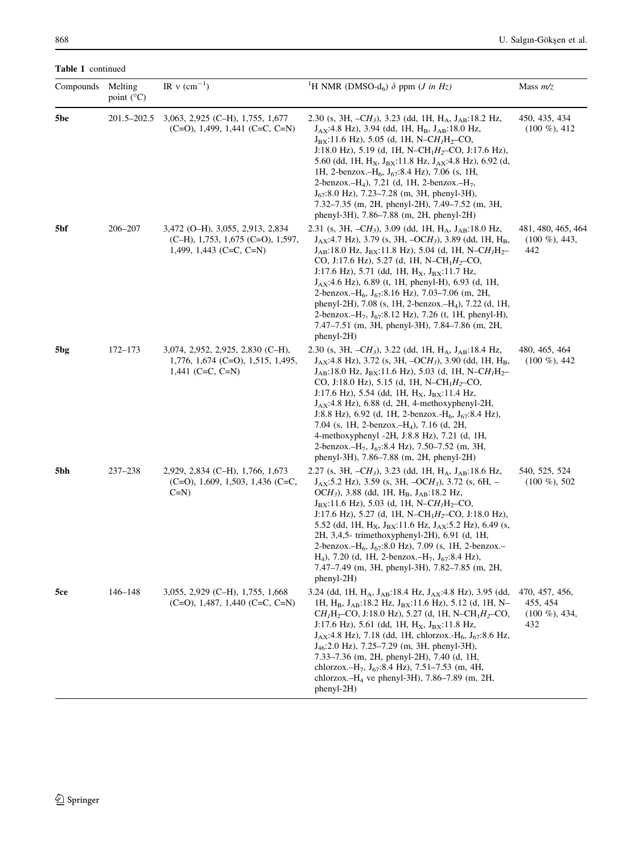Table 1 continued

| Compounds<br>Melting<br>point $(^{\circ}C)$ |             | IR $v$ (cm <sup>-1</sup> )                                                                             | <sup>1</sup> H NMR (DMSO-d <sub>6</sub> ) $\delta$ ppm ( <i>J in Hz</i> )                                                                                                                                                                                                                                                                                                                                                                                                                                                                                                                                                                                                                                                                              | Mass $m/z$                                             |  |
|---------------------------------------------|-------------|--------------------------------------------------------------------------------------------------------|--------------------------------------------------------------------------------------------------------------------------------------------------------------------------------------------------------------------------------------------------------------------------------------------------------------------------------------------------------------------------------------------------------------------------------------------------------------------------------------------------------------------------------------------------------------------------------------------------------------------------------------------------------------------------------------------------------------------------------------------------------|--------------------------------------------------------|--|
| 5be                                         | 201.5–202.5 | 3,063, 2,925 (C-H), 1,755, 1,677<br>$(C=O)$ , 1,499, 1,441 $(C=C, C=N)$                                | 2.30 (s, 3H, $-CH_3$ ), 3.23 (dd, 1H, H <sub>A</sub> , J <sub>AB</sub> :18.2 Hz,<br>$J_{AX}$ :4.8 Hz), 3.94 (dd, 1H, H <sub>B</sub> , $J_{AB}$ :18.0 Hz,<br>$J_{BX}$ :11.6 Hz), 5.05 (d, 1H, N–C $H_1H_2$ –CO,<br>J:18.0 Hz), 5.19 (d, 1H, N-CH <sub>1</sub> H <sub>2</sub> -CO, J:17.6 Hz),<br>5.60 (dd, 1H, $H_X$ , $J_{BX}$ :11.8 Hz, $J_{AX}$ :4.8 Hz), 6.92 (d,<br>1H, 2-benzox.-H <sub>6</sub> , $J_{67}$ :8.4 Hz), 7.06 (s, 1H,<br>2-benzox.-H <sub>4</sub> ), 7.21 (d, 1H, 2-benzox.-H <sub>7</sub> ,<br>$J_{67}$ :8.0 Hz), 7.23–7.28 (m, 3H, phenyl-3H),<br>7.32–7.35 (m, 2H, phenyl-2H), 7.49–7.52 (m, 3H,<br>phenyl-3H), 7.86–7.88 (m, 2H, phenyl-2H)                                                                                       | 450, 435, 434<br>$(100 \%)$ , 412                      |  |
| 5bf                                         | 206-207     | 3,472 (O-H), 3,055, 2,913, 2,834<br>$(C-H)$ , 1,753, 1,675 $(C=O)$ , 1,597,<br>1,499, 1,443 (C=C, C=N) | 2.31 (s, 3H, $-CH_3$ ), 3.09 (dd, 1H, H <sub>A</sub> , J <sub>AB</sub> :18.0 Hz,<br>$J_{AX}$ :4.7 Hz), 3.79 (s, 3H, $-OCH_3$ ), 3.89 (dd, 1H, H <sub>B</sub> ,<br>$J_{AB}$ :18.0 Hz, $J_{BX}$ :11.8 Hz), 5.04 (d, 1H, N-CH <sub>1</sub> H <sub>2</sub> -<br>CO, J:17.6 Hz), 5.27 (d, 1H, N-CH <sub>1</sub> H <sub>2</sub> -CO,<br>J:17.6 Hz), 5.71 (dd, 1H, H <sub>X</sub> , J <sub>BX</sub> :11.7 Hz,<br>$J_{AX}$ :4.6 Hz), 6.89 (t, 1H, phenyl-H), 6.93 (d, 1H,<br>2-benzox.-H <sub>6</sub> , J <sub>67</sub> :8.16 Hz), 7.03-7.06 (m, 2H,<br>phenyl-2H), 7.08 (s, 1H, 2-benzox.-H <sub>4</sub> ), 7.22 (d, 1H,<br>2-benzox. $-H_7$ , $J_{67}$ :8.12 Hz), 7.26 (t, 1H, phenyl-H),<br>7.47–7.51 (m, 3H, phenyl-3H), 7.84–7.86 (m, 2H,<br>$phenyl-2H)$ | 481, 480, 465, 464<br>$(100 \%)$ , 443,<br>442         |  |
| 5bg                                         | 172–173     | 3,074, 2,952, 2,925, 2,830 (C–H),<br>$1,776, 1,674$ (C=O), 1,515, 1,495,<br>1,441 (C=C, C=N)           | 2.30 (s, 3H, $-CH_3$ ), 3.22 (dd, 1H, H <sub>A</sub> , J <sub>AB</sub> :18.4 Hz,<br>$J_{AX}$ :4.8 Hz), 3.72 (s, 3H, $-OCH_3$ ), 3.90 (dd, 1H, H <sub>B</sub> ,<br>$J_{AB}$ :18.0 Hz, $J_{BX}$ :11.6 Hz), 5.03 (d, 1H, N–C $H_1H_2$ –<br>CO, J:18.0 Hz), 5.15 (d, 1H, N-CH <sub>1</sub> H <sub>2</sub> -CO,<br>J:17.6 Hz), 5.54 (dd, 1H, $H_X$ , $J_{BX}$ :11.4 Hz,<br>$J_{AX}$ :4.8 Hz), 6.88 (d, 2H, 4-methoxyphenyl-2H,<br>J:8.8 Hz), 6.92 (d, 1H, 2-benzox.-H <sub>6</sub> , J <sub>67</sub> :8.4 Hz),<br>7.04 (s, 1H, 2-benzox.-H <sub>4</sub> ), 7.16 (d, 2H,<br>4-methoxyphenyl -2H, J:8.8 Hz), 7.21 (d, 1H,<br>2-benzox.-H <sub>7</sub> , $J_{67}$ :8.4 Hz), 7.50-7.52 (m, 3H,<br>phenyl-3H), $7.86-7.88$ (m, 2H, phenyl-2H)                    | 480, 465, 464<br>$(100 \%)$ , 442                      |  |
| 5bh                                         | $237 - 238$ | 2,929, 2,834 (C–H), 1,766, 1,673<br>$(C=O)$ , 1,609, 1,503, 1,436 $(C=C)$ ,<br>$C=N$                   | 2.27 (s, 3H, $-CH_3$ ), 3.23 (dd, 1H, H <sub>A</sub> , J <sub>AB</sub> :18.6 Hz,<br>$J_{AX}$ :5.2 Hz), 3.59 (s, 3H, $-OCH_3$ ), 3.72 (s, 6H, $-$<br>$OCH_3$ ), 3.88 (dd, 1H, H <sub>B</sub> , J <sub>AB</sub> :18.2 Hz,<br>$J_{BX}$ :11.6 Hz), 5.03 (d, 1H, N–C $H_1H_2$ –CO,<br>J:17.6 Hz), 5.27 (d, 1H, N-CH <sub>1</sub> H <sub>2</sub> -CO, J:18.0 Hz),<br>5.52 (dd, 1H, $H_X$ , $J_{BX}$ :11.6 Hz, $J_{AX}$ :5.2 Hz), 6.49 (s,<br>2H, 3,4,5- trimethoxyphenyl-2H), 6.91 (d, 1H,<br>2-benzox.-H <sub>6</sub> , J <sub>67</sub> :8.0 Hz), 7.09 (s, 1H, 2-benzox.-<br>H <sub>4</sub> ), 7.20 (d, 1H, 2-benzox.-H <sub>7</sub> , $J_{67}$ :8.4 Hz),<br>7.47–7.49 (m, 3H, phenyl-3H), 7.82–7.85 (m, 2H,<br>$phenyl-2H)$                                | 540, 525, 524<br>$(100 \%)$ , 502                      |  |
| 5ce                                         | 146-148     | 3,055, 2,929 (C-H), 1,755, 1,668<br>$(C=O)$ , 1,487, 1,440 $(C=C, C=N)$                                | 3.24 (dd, 1H, H <sub>A</sub> , J <sub>AB</sub> :18.4 Hz, J <sub>AX</sub> :4.8 Hz), 3.95 (dd,<br>1H, H <sub>B</sub> , J <sub>AB</sub> :18.2 Hz, J <sub>BX</sub> :11.6 Hz), 5.12 (d, 1H, N-<br>$CHIH2-CO$ , J:18.0 Hz), 5.27 (d, 1H, N-CH <sub>1</sub> H <sub>2</sub> -CO,<br>J:17.6 Hz), 5.61 (dd, 1H, $H_X$ , $J_{BX}$ :11.8 Hz,<br>$J_{AX}$ :4.8 Hz), 7.18 (dd, 1H, chlorzox.-H <sub>6</sub> , J <sub>67</sub> :8.6 Hz,<br>$J_{46}:2.0$ Hz), 7.25–7.29 (m, 3H, phenyl-3H),<br>7.33–7.36 (m, 2H, phenyl-2H), 7.40 (d, 1H,<br>chlorzox. $-H_7$ , J <sub>67</sub> :8.4 Hz), 7.51–7.53 (m, 4H,<br>chlorzox. $-H_4$ ve phenyl-3H), 7.86–7.89 (m, 2H,<br>$phenyl-2H)$                                                                                       | 470, 457, 456,<br>455, 454<br>$(100 \%)$ , 434,<br>432 |  |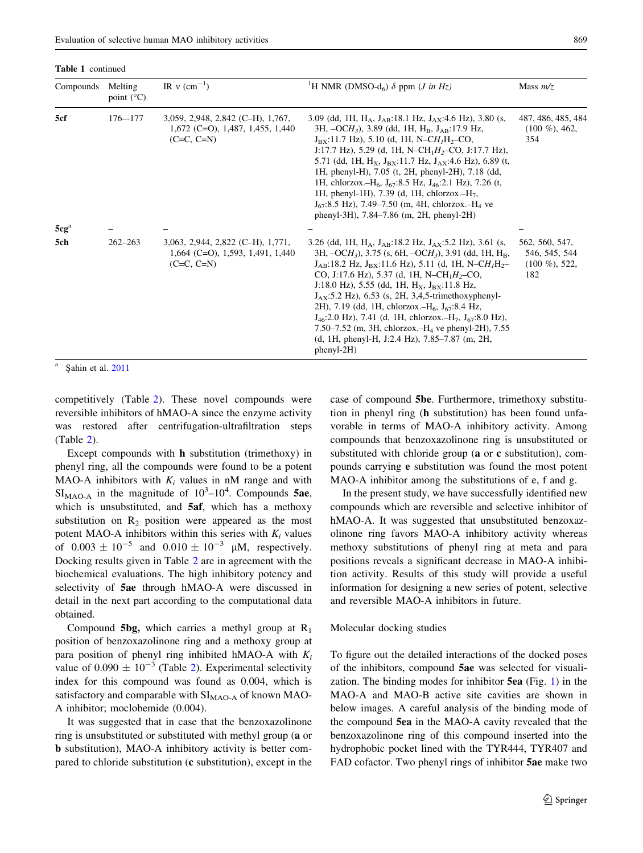Table 1 continued

| Compounds | Melting<br>point $(^{\circ}C)$ | IR $v$ (cm <sup>-1</sup> )                                                                        | <sup>1</sup> H NMR (DMSO-d <sub>6</sub> ) $\delta$ ppm ( <i>J in Hz</i> )                                                                                                                                                                                                                                                                                                                                                                                                                                                                                                                                                                                                                                                                 | Mass $m/z$<br>487, 486, 485, 484<br>$(100 \%)$ , 462,<br>354 |  |
|-----------|--------------------------------|---------------------------------------------------------------------------------------------------|-------------------------------------------------------------------------------------------------------------------------------------------------------------------------------------------------------------------------------------------------------------------------------------------------------------------------------------------------------------------------------------------------------------------------------------------------------------------------------------------------------------------------------------------------------------------------------------------------------------------------------------------------------------------------------------------------------------------------------------------|--------------------------------------------------------------|--|
| 5cf       | $176 - 177$                    | $3,059, 2,948, 2,842$ (C-H), 1,767,<br>$1,672$ (C=O), $1,487$ , $1,455$ , $1,440$<br>$(C=C, C=N)$ | 3.09 (dd, 1H, H <sub>A</sub> , J <sub>AB</sub> :18.1 Hz, J <sub>AX</sub> :4.6 Hz), 3.80 (s,<br>3H, $-OCH_3$ ), 3.89 (dd, 1H, H <sub>B</sub> , J <sub>AB</sub> :17.9 Hz,<br>$J_{\rm BX}$ :11.7 Hz), 5.10 (d, 1H, N–CH <sub>1</sub> H <sub>2</sub> –CO,<br>J:17.7 Hz), 5.29 (d, 1H, N-CH <sub>1</sub> H <sub>2</sub> -CO, J:17.7 Hz),<br>5.71 (dd, 1H, $H_x$ , $J_{Bx}$ :11.7 Hz, $J_{AX}$ :4.6 Hz), 6.89 (t,<br>1H, phenyl-H), 7.05 (t, 2H, phenyl-2H), 7.18 (dd,<br>1H, chlorzox.-H <sub>6</sub> , J <sub>67</sub> :8.5 Hz, J <sub>46</sub> :2.1 Hz), 7.26 (t,<br>1H, phenyl-1H), 7.39 (d, 1H, chlorzox.- $H_7$ ,<br>$J_{67}$ :8.5 Hz), 7.49–7.50 (m, 4H, chlorzox.–H <sub>4</sub> ve<br>phenyl-3H), 7.84–7.86 (m, 2H, phenyl-2H)         |                                                              |  |
| $5cg^a$   |                                |                                                                                                   |                                                                                                                                                                                                                                                                                                                                                                                                                                                                                                                                                                                                                                                                                                                                           |                                                              |  |
| 5ch       | $262 - 263$                    | $3,063, 2,944, 2,822$ (C-H), 1,771,<br>$1,664$ (C=O), 1,593, 1,491, 1,440<br>$(C=C, C=N)$         | 3.26 (dd, 1H, H <sub>A</sub> , J <sub>AB</sub> :18.2 Hz, J <sub>AX</sub> :5.2 Hz), 3.61 (s,<br>3H, $-OCH_3$ ), 3.75 (s, 6H, $-OCH_3$ ), 3.91 (dd, 1H, H <sub>B</sub> ,<br>$J_{AB}$ :18.2 Hz, $J_{BX}$ :11.6 Hz), 5.11 (d, 1H, N-CH <sub>1</sub> H <sub>2</sub> -<br>CO, J:17.6 Hz), 5.37 (d, 1H, N-CH <sub>1</sub> H <sub>2</sub> -CO,<br>J:18.0 Hz), 5.55 (dd, 1H, $H_X$ , $J_{RX}$ :11.8 Hz,<br>$J_{AX}$ :5.2 Hz), 6.53 (s, 2H, 3,4,5-trimethoxyphenyl-<br>2H), 7.19 (dd, 1H, chlorzox.-H <sub>6</sub> , $J_{67}$ :8.4 Hz,<br>$J_{46}$ :2.0 Hz), 7.41 (d, 1H, chlorzox.-H <sub>7</sub> , $J_{67}$ :8.0 Hz),<br>7.50–7.52 (m, 3H, chlorzox.– $H_4$ ve phenyl-2H), 7.55<br>(d, 1H, phenyl-H, J:2.4 Hz), 7.85–7.87 (m, 2H,<br>$phenyl-2H)$ | 562, 560, 547,<br>546, 545, 544<br>$(100 \%)$ , 522,<br>182  |  |

Sahin et al. [2011](#page-9-0)

competitively (Table [2\)](#page-7-0). These novel compounds were reversible inhibitors of hMAO-A since the enzyme activity was restored after centrifugation-ultrafiltration steps (Table [2](#page-7-0)).

Except compounds with h substitution (trimethoxy) in phenyl ring, all the compounds were found to be a potent MAO-A inhibitors with  $K_i$  values in nM range and with  $SI<sub>MAO-A</sub>$  in the magnitude of  $10^3-10^4$ . Compounds 5ae, which is unsubstituted, and 5af, which has a methoxy substitution on  $R_2$  position were appeared as the most potent MAO-A inhibitors within this series with  $K_i$  values of  $0.003 \pm 10^{-5}$  and  $0.010 \pm 10^{-3}$  µM, respectively. Docking results given in Table [2](#page-7-0) are in agreement with the biochemical evaluations. The high inhibitory potency and selectivity of 5ae through hMAO-A were discussed in detail in the next part according to the computational data obtained.

Compound **5bg,** which carries a methyl group at  $R_1$ position of benzoxazolinone ring and a methoxy group at para position of phenyl ring inhibited hMAO-A with  $K_i$ value of  $0.090 \pm 10^{-3}$  (Table [2\)](#page-7-0). Experimental selectivity index for this compound was found as 0.004, which is satisfactory and comparable with  $SI<sub>MAC-A</sub>$  of known MAO-A inhibitor; moclobemide (0.004).

It was suggested that in case that the benzoxazolinone ring is unsubstituted or substituted with methyl group (a or b substitution), MAO-A inhibitory activity is better compared to chloride substitution (c substitution), except in the case of compound 5be. Furthermore, trimethoxy substitution in phenyl ring (h substitution) has been found unfavorable in terms of MAO-A inhibitory activity. Among compounds that benzoxazolinone ring is unsubstituted or substituted with chloride group (a or c substitution), compounds carrying e substitution was found the most potent MAO-A inhibitor among the substitutions of e, f and g.

In the present study, we have successfully identified new compounds which are reversible and selective inhibitor of hMAO-A. It was suggested that unsubstituted benzoxazolinone ring favors MAO-A inhibitory activity whereas methoxy substitutions of phenyl ring at meta and para positions reveals a significant decrease in MAO-A inhibition activity. Results of this study will provide a useful information for designing a new series of potent, selective and reversible MAO-A inhibitors in future.

# Molecular docking studies

To figure out the detailed interactions of the docked poses of the inhibitors, compound 5ae was selected for visualization. The binding modes for inhibitor 5ea (Fig. [1\)](#page-8-0) in the MAO-A and MAO-B active site cavities are shown in below images. A careful analysis of the binding mode of the compound 5ea in the MAO-A cavity revealed that the benzoxazolinone ring of this compound inserted into the hydrophobic pocket lined with the TYR444, TYR407 and FAD cofactor. Two phenyl rings of inhibitor 5ae make two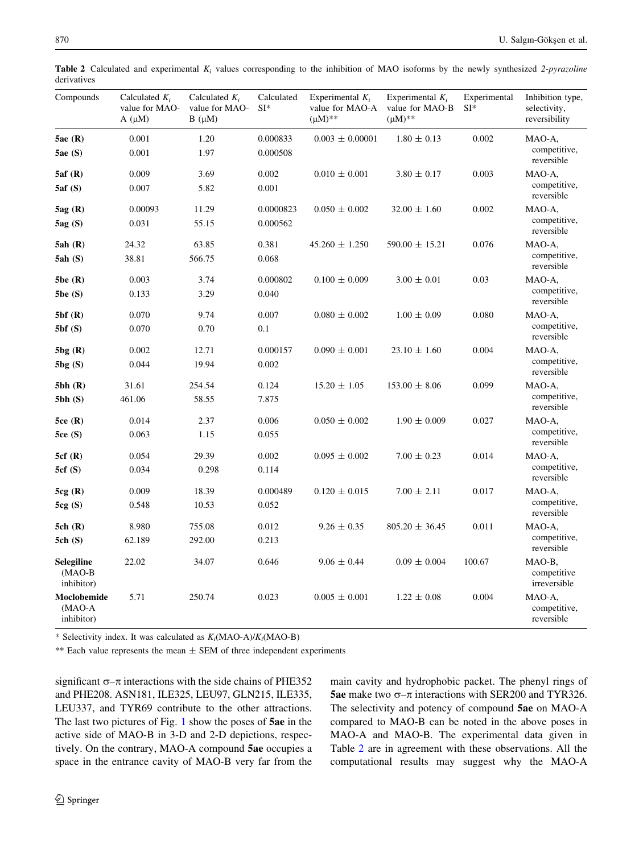| Compounds                                    | Calculated $K_i$<br>value for MAO-<br>$A(\mu M)$ | Calculated $K_i$<br>value for MAO-<br>$B(\mu M)$ | Calculated<br>$SI*$ | Experimental $K_i$<br>value for MAO-A<br>$(\mu M)^{**}$ | Experimental $K_i$<br>value for MAO-B<br>$(\mu M)^{**}$ | Experimental<br>$SI*$ | Inhibition type,<br>selectivity,<br>reversibility |
|----------------------------------------------|--------------------------------------------------|--------------------------------------------------|---------------------|---------------------------------------------------------|---------------------------------------------------------|-----------------------|---------------------------------------------------|
| 5ae(R)                                       | 0.001                                            | 1.20                                             | 0.000833            | $0.003 \pm 0.00001$                                     | $1.80 \pm 0.13$                                         | 0.002                 | MAO-A,                                            |
| 5ae(S)                                       | 0.001                                            | 1.97                                             | 0.000508            |                                                         |                                                         |                       | competitive,<br>reversible                        |
| 5af(R)                                       | 0.009                                            | 3.69                                             | 0.002               | $0.010 \pm 0.001$                                       | $3.80 \pm 0.17$                                         | 0.003                 | MAO-A,                                            |
| 5af(S)                                       | 0.007                                            | 5.82                                             | 0.001               |                                                         |                                                         |                       | competitive,<br>reversible                        |
| 5ag(R)                                       | 0.00093                                          | 11.29                                            | 0.0000823           | $0.050 \pm 0.002$                                       | $32.00 \pm 1.60$                                        | 0.002                 | MAO-A,                                            |
| 5ag(S)                                       | 0.031                                            | 55.15                                            | 0.000562            |                                                         |                                                         |                       | competitive,<br>reversible                        |
| 5ah(R)                                       | 24.32                                            | 63.85                                            | 0.381               | $45.260 \pm 1.250$                                      | $590.00 \pm 15.21$                                      | 0.076                 | MAO-A,                                            |
| 5ah(S)                                       | 38.81                                            | 566.75                                           | 0.068               |                                                         |                                                         |                       | competitive,<br>reversible                        |
| 5be (R)                                      | 0.003                                            | 3.74                                             | 0.000802            | $0.100 \pm 0.009$                                       | $3.00 \pm 0.01$                                         | 0.03                  | MAO-A.                                            |
| 5be(S)                                       | 0.133                                            | 3.29                                             | 0.040               |                                                         |                                                         |                       | competitive,<br>reversible                        |
| 5bf(R)                                       | 0.070                                            | 9.74                                             | 0.007               | $0.080 \pm 0.002$                                       | $1.00 \pm 0.09$                                         | 0.080                 | MAO-A,                                            |
| 5bf(S)                                       | 0.070                                            | 0.70                                             | 0.1                 |                                                         |                                                         |                       | competitive,<br>reversible                        |
| 5bg(R)                                       | 0.002                                            | 12.71                                            | 0.000157            | $0.090 \pm 0.001$                                       | $23.10 \pm 1.60$                                        | 0.004                 | MAO-A.                                            |
| 5bg(S)                                       | 0.044                                            | 19.94                                            | 0.002               |                                                         |                                                         |                       | competitive,<br>reversible                        |
| 5bh (R)                                      | 31.61                                            | 254.54                                           | 0.124               | $15.20 \pm 1.05$                                        | $153.00 \pm 8.06$                                       | 0.099                 | MAO-A,                                            |
| 5bh(S)                                       | 461.06                                           | 58.55                                            | 7.875               |                                                         |                                                         |                       | competitive,<br>reversible                        |
| 5ce(R)                                       | 0.014                                            | 2.37                                             | 0.006               | $0.050 \pm 0.002$                                       | $1.90 \pm 0.009$                                        | 0.027                 | MAO-A,                                            |
| 5ce(S)                                       | 0.063                                            | 1.15                                             | 0.055               |                                                         |                                                         |                       | competitive,<br>reversible                        |
| 5cf(R)                                       | 0.054                                            | 29.39                                            | 0.002               | $0.095 \pm 0.002$                                       | $7.00 \pm 0.23$                                         | 0.014                 | MAO-A,                                            |
| 5cf(S)                                       | 0.034                                            | 0.298                                            | 0.114               |                                                         |                                                         |                       | competitive,<br>reversible                        |
| 5cg(R)                                       | 0.009                                            | 18.39                                            | 0.000489            | $0.120 \pm 0.015$                                       | $7.00 \pm 2.11$                                         | 0.017                 | MAO-A,                                            |
| 5cg(S)                                       | 0.548                                            | 10.53                                            | 0.052               |                                                         |                                                         |                       | competitive,<br>reversible                        |
| 5ch(R)                                       | 8.980                                            | 755.08                                           | 0.012               | $9.26 \pm 0.35$                                         | $805.20 \pm 36.45$                                      | 0.011                 | MAO-A.                                            |
| 5ch(S)                                       | 62.189                                           | 292.00                                           | 0.213               |                                                         |                                                         |                       | competitive,<br>reversible                        |
| <b>Selegiline</b><br>$(MAO-B)$<br>inhibitor) | 22.02                                            | 34.07                                            | 0.646               | $9.06 \pm 0.44$                                         | $0.09 \pm 0.004$                                        | 100.67                | MAO-B,<br>competitive<br>irreversible             |
| Moclobemide<br>$(MAO-A)$<br>inhibitor)       | 5.71                                             | 250.74                                           | 0.023               | $0.005 \pm 0.001$                                       | $1.22 \pm 0.08$                                         | 0.004                 | MAO-A.<br>competitive,<br>reversible              |

<span id="page-7-0"></span>Table 2 Calculated and experimental  $K_i$  values corresponding to the inhibition of MAO isoforms by the newly synthesized 2-pyrazoline derivatives

\* Selectivity index. It was calculated as  $K_i(MAO-A)/K_i(MAO-B)$ 

\*\* Each value represents the mean  $\pm$  SEM of three independent experiments

significant  $\sigma$ – $\pi$  interactions with the side chains of PHE352 and PHE208. ASN181, ILE325, LEU97, GLN215, ILE335, LEU337, and TYR69 contribute to the other attractions. The last two pictures of Fig. [1](#page-8-0) show the poses of 5ae in the active side of MAO-B in 3-D and 2-D depictions, respectively. On the contrary, MAO-A compound 5ae occupies a space in the entrance cavity of MAO-B very far from the main cavity and hydrophobic packet. The phenyl rings of **5ae** make two  $\sigma$ – $\pi$  interactions with SER200 and TYR326. The selectivity and potency of compound 5ae on MAO-A compared to MAO-B can be noted in the above poses in MAO-A and MAO-B. The experimental data given in Table 2 are in agreement with these observations. All the computational results may suggest why the MAO-A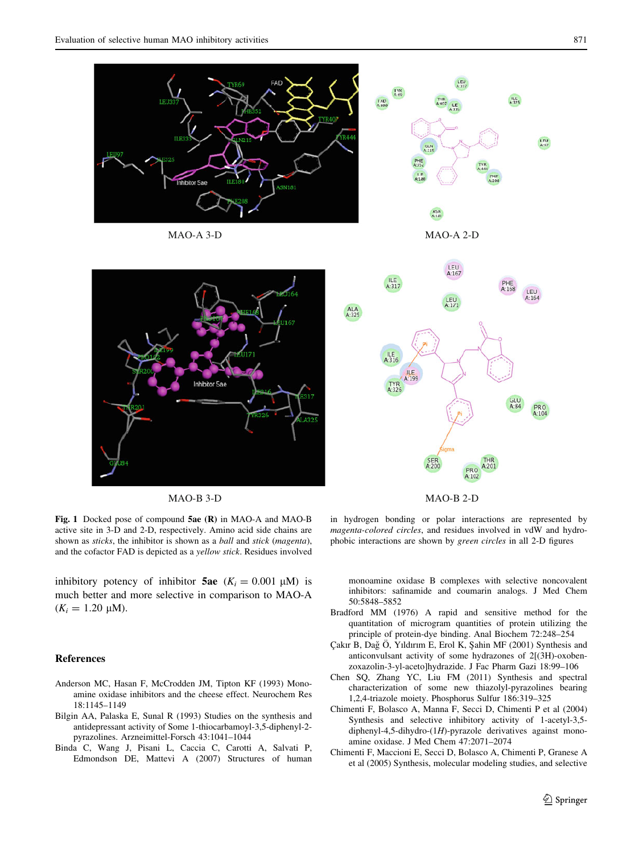<span id="page-8-0"></span>

Fig. 1 Docked pose of compound 5ae (R) in MAO-A and MAO-B active site in 3-D and 2-D, respectively. Amino acid side chains are shown as sticks, the inhibitor is shown as a ball and stick (magenta), and the cofactor FAD is depicted as a yellow stick. Residues involved

inhibitory potency of inhibitor **5ae**  $(K_i = 0.001 \mu M)$  is much better and more selective in comparison to MAO-A  $(K_i = 1.20 \mu M).$ 

# References

- Anderson MC, Hasan F, McCrodden JM, Tipton KF (1993) Monoamine oxidase inhibitors and the cheese effect. Neurochem Res 18:1145–1149
- Bilgin AA, Palaska E, Sunal R (1993) Studies on the synthesis and antidepressant activity of Some 1-thiocarbamoyl-3,5-diphenyl-2 pyrazolines. Arzneimittel-Forsch 43:1041–1044
- Binda C, Wang J, Pisani L, Caccia C, Carotti A, Salvati P, Edmondson DE, Mattevi A (2007) Structures of human

in hydrogen bonding or polar interactions are represented by magenta-colored circles, and residues involved in vdW and hydrophobic interactions are shown by green circles in all 2-D figures

monoamine oxidase B complexes with selective noncovalent inhibitors: safinamide and coumarin analogs. J Med Chem 50:5848–5852

- Bradford MM (1976) A rapid and sensitive method for the quantitation of microgram quantities of protein utilizing the principle of protein-dye binding. Anal Biochem 72:248–254
- Çakır B, Dağ Ö, Yıldırım E, Erol K, Şahin MF (2001) Synthesis and anticonvulsant activity of some hydrazones of 2[(3H)-oxobenzoxazolin-3-yl-aceto]hydrazide. J Fac Pharm Gazi 18:99–106
- Chen SQ, Zhang YC, Liu FM (2011) Synthesis and spectral characterization of some new thiazolyl-pyrazolines bearing 1,2,4-triazole moiety. Phosphorus Sulfur 186:319–325
- Chimenti F, Bolasco A, Manna F, Secci D, Chimenti P et al (2004) Synthesis and selective inhibitory activity of 1-acetyl-3,5 diphenyl-4,5-dihydro-(1H)-pyrazole derivatives against monoamine oxidase. J Med Chem 47:2071–2074
- Chimenti F, Maccioni E, Secci D, Bolasco A, Chimenti P, Granese A et al (2005) Synthesis, molecular modeling studies, and selective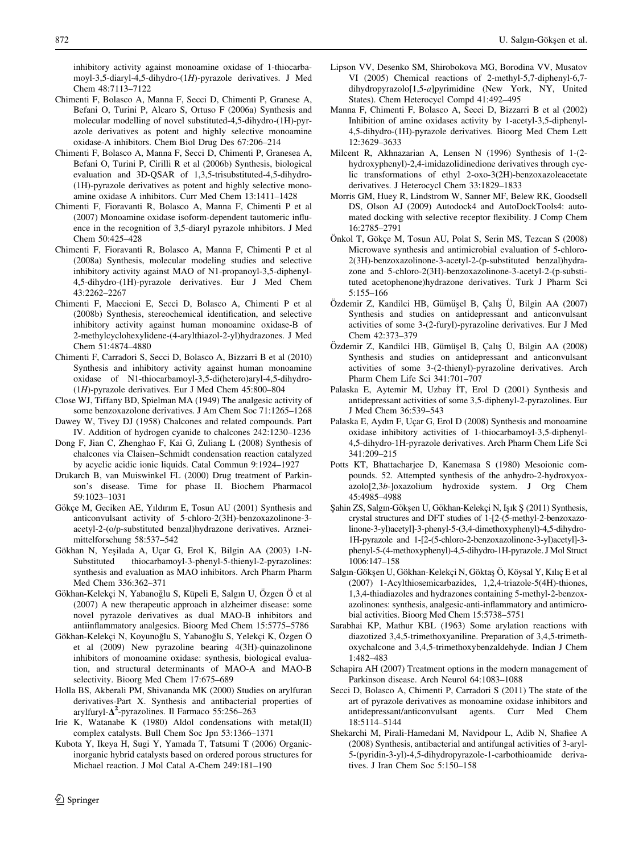<span id="page-9-0"></span>inhibitory activity against monoamine oxidase of 1-thiocarbamoyl-3,5-diaryl-4,5-dihydro-(1H)-pyrazole derivatives. J Med Chem 48:7113–7122

- Chimenti F, Bolasco A, Manna F, Secci D, Chimenti P, Granese A, Befani O, Turini P, Alcaro S, Ortuso F (2006a) Synthesis and molecular modelling of novel substituted-4,5-dihydro-(1H)-pyrazole derivatives as potent and highly selective monoamine oxidase-A inhibitors. Chem Biol Drug Des 67:206–214
- Chimenti F, Bolasco A, Manna F, Secci D, Chimenti P, Granesea A, Befani O, Turini P, Cirilli R et al (2006b) Synthesis, biological evaluation and 3D-QSAR of 1,3,5-trisubstituted-4,5-dihydro- (1H)-pyrazole derivatives as potent and highly selective monoamine oxidase A inhibitors. Curr Med Chem 13:1411–1428
- Chimenti F, Fioravanti R, Bolasco A, Manna F, Chimenti P et al (2007) Monoamine oxidase isoform-dependent tautomeric influence in the recognition of 3,5-diaryl pyrazole ınhibitors. J Med Chem 50:425–428
- Chimenti F, Fioravanti R, Bolasco A, Manna F, Chimenti P et al (2008a) Synthesis, molecular modeling studies and selective inhibitory activity against MAO of N1-propanoyl-3,5-diphenyl-4,5-dihydro-(1H)-pyrazole derivatives. Eur J Med Chem 43:2262–2267
- Chimenti F, Maccioni E, Secci D, Bolasco A, Chimenti P et al (2008b) Synthesis, stereochemical identification, and selective inhibitory activity against human monoamine oxidase-B of 2-methylcyclohexylidene-(4-arylthiazol-2-yl)hydrazones. J Med Chem 51:4874–4880
- Chimenti F, Carradori S, Secci D, Bolasco A, Bizzarri B et al (2010) Synthesis and inhibitory activity against human monoamine oxidase of N1-thiocarbamoyl-3,5-di(hetero)aryl-4,5-dihydro- (1H)-pyrazole derivatives. Eur J Med Chem 45:800–804
- Close WJ, Tiffany BD, Spielman MA (1949) The analgesic activity of some benzoxazolone derivatives. J Am Chem Soc 71:1265–1268
- Dawey W, Tivey DJ (1958) Chalcones and related compounds. Part IV. Addition of hydrogen cyanide to chalcones 242:1230–1236
- Dong F, Jian C, Zhenghao F, Kai G, Zuliang L (2008) Synthesis of chalcones via Claisen–Schmidt condensation reaction catalyzed by acyclic acidic ionic liquids. Catal Commun 9:1924–1927
- Drukarch B, van Muiswinkel FL (2000) Drug treatment of Parkinson's disease. Time for phase II. Biochem Pharmacol 59:1023–1031
- Gökçe M, Geciken AE, Yıldırım E, Tosun AU (2001) Synthesis and anticonvulsant activity of 5-chloro-2(3H)-benzoxazolinone-3 acetyl-2-(o/p-substituted benzal)hydrazone derivatives. Arzneimittelforschung 58:537–542
- Gökhan N, Yeşilada A, Uçar G, Erol K, Bilgin AA (2003) 1-N-Substituted thiocarbamoyl-3-phenyl-5-thienyl-2-pyrazolines: synthesis and evaluation as MAO inhibitors. Arch Pharm Pharm Med Chem 336:362–371
- Gökhan-Kelekçi N, Yabanoğlu S, Küpeli E, Salgın U, Özgen Ö et al (2007) A new therapeutic approach in alzheimer disease: some novel pyrazole derivatives as dual MAO-B inhibitors and antiinflammatory analgesics. Bioorg Med Chem 15:5775–5786
- Gökhan-Kelekçi N, Koyunoğlu S, Yabanoğlu S, Yelekçi K, Özgen Ö et al (2009) New pyrazoline bearing 4(3H)-quinazolinone inhibitors of monoamine oxidase: synthesis, biological evaluation, and structural determinants of MAO-A and MAO-B selectivity. Bioorg Med Chem 17:675–689
- Holla BS, Akberali PM, Shivananda MK (2000) Studies on arylfuran derivatives-Part X. Synthesis and antibacterial properties of arylfuryl- $\Delta^2$ -pyrazolines. Il Farmaco 55:256-263
- Irie K, Watanabe K (1980) Aldol condensations with metal(II) complex catalysts. Bull Chem Soc Jpn 53:1366–1371
- Kubota Y, Ikeya H, Sugi Y, Yamada T, Tatsumi T (2006) Organicinorganic hybrid catalysts based on ordered porous structures for Michael reaction. J Mol Catal A-Chem 249:181–190
- Lipson VV, Desenko SM, Shirobokova MG, Borodina VV, Musatov VI (2005) Chemical reactions of 2-methyl-5,7-diphenyl-6,7 dihydropyrazolo[1,5-a]pyrimidine (New York, NY, United States). Chem Heterocycl Compd 41:492–495
- Manna F, Chimenti F, Bolasco A, Secci D, Bizzarri B et al (2002) Inhibition of amine oxidases activity by 1-acetyl-3,5-diphenyl-4,5-dihydro-(1H)-pyrazole derivatives. Bioorg Med Chem Lett 12:3629–3633
- Milcent R, Akhnazarian A, Lensen N (1996) Synthesis of 1-(2 hydroxyphenyl)-2,4-imidazolidinedione derivatives through cyclic transformations of ethyl 2-oxo-3(2H)-benzoxazoleacetate derivatives. J Heterocycl Chem 33:1829–1833
- Morris GM, Huey R, Lindstrom W, Sanner MF, Belew RK, Goodsell DS, Olson AJ (2009) Autodock4 and AutoDockTools4: automated docking with selective receptor flexibility. J Comp Chem 16:2785–2791
- Önkol T, Gökçe M, Tosun AU, Polat S, Serin MS, Tezcan S (2008) Microwave synthesis and antimicrobial evaluation of 5-chloro-2(3H)-benzoxazolinone-3-acetyl-2-(p-substituted benzal)hydrazone and 5-chloro-2(3H)-benzoxazolinone-3-acetyl-2-(p-substituted acetophenone)hydrazone derivatives. Turk J Pharm Sci 5:155–166
- Özdemir Z, Kandilci HB, Gümüşel B, Çalış Ü, Bilgin AA (2007) Synthesis and studies on antidepressant and anticonvulsant activities of some 3-(2-furyl)-pyrazoline derivatives. Eur J Med Chem 42:373–379
- Özdemir Z, Kandilci HB, Gümüşel B, Çalış Ü, Bilgin AA (2008) Synthesis and studies on antidepressant and anticonvulsant activities of some 3-(2-thienyl)-pyrazoline derivatives. Arch Pharm Chem Life Sci 341:701–707
- Palaska E, Aytemir M, Uzbay IT, Erol D (2001) Synthesis and antidepressant activities of some 3,5-diphenyl-2-pyrazolines. Eur J Med Chem 36:539–543
- Palaska E, Aydın F, Uçar G, Erol D (2008) Synthesis and monoamine oxidase inhibitory activities of 1-thiocarbamoyl-3,5-diphenyl-4,5-dihydro-1H-pyrazole derivatives. Arch Pharm Chem Life Sci 341:209–215
- Potts KT, Bhattacharjee D, Kanemasa S (1980) Mesoionic compounds. 52. Attempted synthesis of the anhydro-2-hydroxyoxazolo[2,3b-]oxazolium hydroxide system. J Org Chem 45:4985–4988
- Sahin ZS, Salgın-Gökşen U, Gökhan-Kelekçi N, Işık Ş (2011) Synthesis, crystal structures and DFT studies of 1-[2-(5-methyl-2-benzoxazolinone-3-yl)acetyl]-3-phenyl-5-(3,4-dimethoxyphenyl)-4,5-dihydro-1H-pyrazole and 1-[2-(5-chloro-2-benzoxazolinone-3-yl)acetyl]-3 phenyl-5-(4-methoxyphenyl)-4,5-dihydro-1H-pyrazole. J Mol Struct 1006:147–158
- Salgın-Gökşen U, Gökhan-Kelekçi N, Göktaş Ö, Köysal Y, Kılıç E et al (2007) 1-Acylthiosemicarbazides, 1,2,4-triazole-5(4H)-thiones, 1,3,4-thiadiazoles and hydrazones containing 5-methyl-2-benzoxazolinones: synthesis, analgesic-anti-inflammatory and antimicrobial activities. Bioorg Med Chem 15:5738–5751
- Sarabhai KP, Mathur KBL (1963) Some arylation reactions with diazotized 3,4,5-trimethoxyaniline. Preparation of 3,4,5-trimethoxychalcone and 3,4,5-trimethoxybenzaldehyde. Indian J Chem 1:482–483
- Schapira AH (2007) Treatment options in the modern management of Parkinson disease. Arch Neurol 64:1083–1088
- Secci D, Bolasco A, Chimenti P, Carradori S (2011) The state of the art of pyrazole derivatives as monoamine oxidase inhibitors and antidepressant/anticonvulsant agents. Curr Med Chem 18:5114–5144
- Shekarchi M, Pirali-Hamedani M, Navidpour L, Adib N, Shafiee A (2008) Synthesis, antibacterial and antifungal activities of 3-aryl-5-(pyridin-3-yl)-4,5-dihydropyrazole-1-carbothioamide derivatives. J Iran Chem Soc 5:150–158